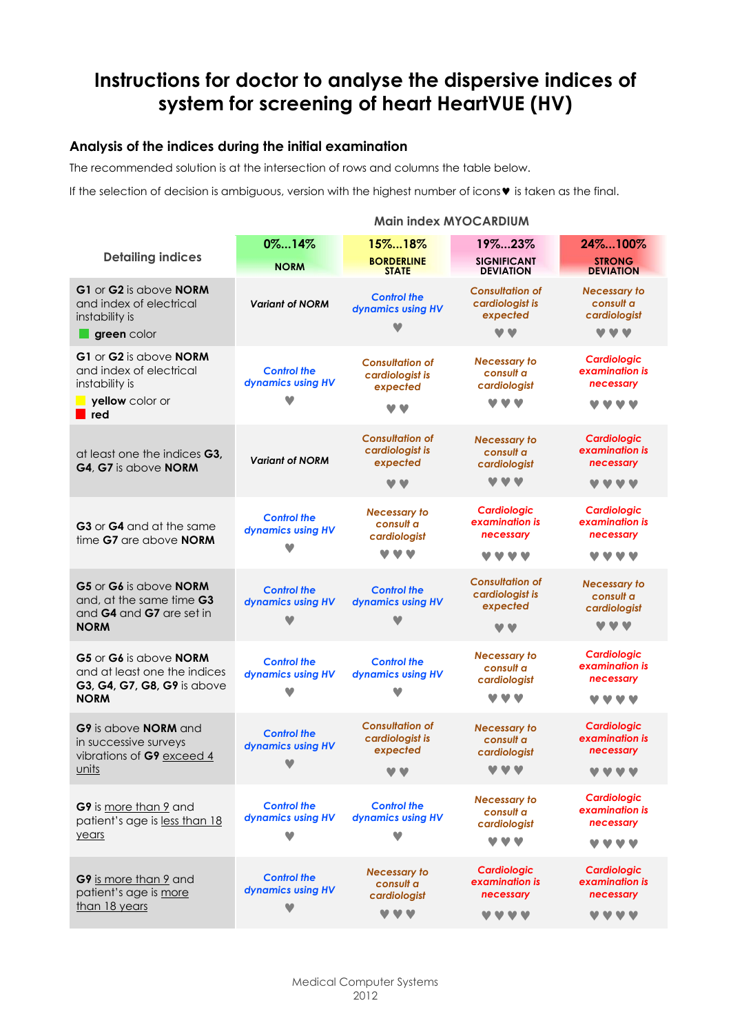# **Instructions for doctor to analyse the dispersive indices of system for screening of heart HeartVUE (HV)**

### **Analysis of the indices during the initial examination**

The recommended solution is at the intersection of rows and columns the table below.

If the selection of decision is ambiguous, version with the highest number of icons $\mathbf v$  is taken as the final.

#### **Main index MYOCARDIUM Detailing indices 0%...14% 15%...18% 19%...23% 24%...100% NORM BORDERLINE STATE SIGNIFICANT DEVIATION STRONG DEVIATION G1** or **G2** is above **NORM** and index of electrical instability is **green** color *Variant of NORM <sup>С</sup>ontrol the dynamics using HV*  $\blacktriangledown$ *Consultation of cardiologist is expected Necessary to consult a cardiologist* <u>vv</u> vvv **G1** or **G2** is above **NORM** and index of electrical instability is  **yellow** color or **red** *Сontrol the dynamics using HV*  $\blacktriangledown$ *Consultation of cardiologist is expected* **VV** *Necessary to consult a cardiologist*  **MMM** *Cardiologic examination is necessary* **MMMM** at least one the indices **G3, G4**, **G7** is above **NORM** *Variant of NORM Consultation of cardiologist is expected* **MM** *Necessary to consult a cardiologist*  VVV *Cardiologic examination is necessary* **VVVV G3** or **G4** and at the same time **G7** are above **NORM** *Сontrol the dynamics using HV*  $\blacktriangledown$ *Necessary to consult a cardiologist*  **MMM** *Cardiologic examination is necessary* **VVVV** *Cardiologic examination is necessary* **VVVV G5** or **G6** is above **NORM** and, at the same time **G3** and **G4** and **G7** are set in **NORM** *Сontrol the dynamics using HV*  $\blacktriangledown$ *Сontrol the dynamics using HV*  $\blacktriangledown$ *Consultation of cardiologist is expected* **VV** *Necessary to consult a cardiologist*  **MARIN G5** or **G6** is above **NORM** and at least one the indices **G3, G4, G7, G8, G9** is above **NORM** *Сontrol the dynamics using HV*  $\blacktriangledown$ *Сontrol the dynamics using HV*  $\bullet$ *Necessary to consult a cardiologist*  **VVV** *Cardiologic examination is necessary* **VVVV G9** is above **NORM** and in successive surveys vibrations of **G9** exceed 4 units *Сontrol the dynamics using HV*  $\sim$ *Consultation of cardiologist is expected* **V.V** *Necessary to consult a cardiologist*  V V V *Cardiologic examination is necessary* **VVVV G9** is more than 9 and patient's age is less than 18 years *Сontrol the dynamics using HV*  $\blacktriangledown$ *Сontrol the dynamics using HV*  $\sim$ *Necessary to consult a cardiologist*  **VVV** *Cardiologic examination is necessary* **VVVV G9** is more than 9 and patient's age is more than 18 years *Сontrol the dynamics using HV*  $\bullet$ *Necessary to consult a cardiologist*  **MMM** *Cardiologic examination is necessary* **MMMM** *Cardiologic examination is necessary* **MMMM**